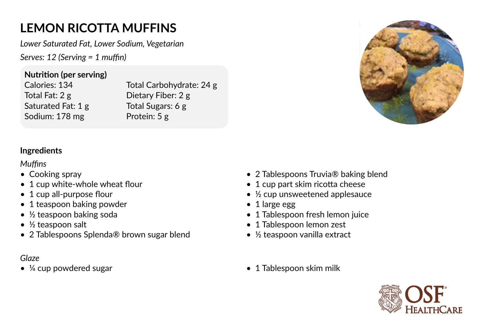## **LEMON RICOTTA MUFFINS**

*Lower Saturated Fat, Lower Sodium, Vegetarian*

*Serves: 12 (Serving = 1 muffin)* 

**Nutrition (per serving)**

Calories: 134 Total Fat: 2 g Saturated Fat: 1 g Sodium: 178 mg

Total Carbohydrate: 24 g Dietary Fiber: 2 g Total Sugars: 6 g Protein: 5 g



## **Ingredients**

*Muffins*

- Cooking spray
- 1 cup white-whole wheat flour
- 1 cup all-purpose flour
- 1 teaspoon baking powder
- ½ teaspoon baking soda
- ½ teaspoon salt
- 2 Tablespoons Splenda® brown sugar blend

## *Glaze*

•  $\frac{1}{4}$  cup powdered sugar • 1 Tablespoon skim milk

- 2 Tablespoons Truvia<sup>®</sup> baking blend
- 1 cup part skim ricotta cheese
- ½ cup unsweetened applesauce
- 1 large egg
- 1 Tablespoon fresh lemon juice
- 1 Tablespoon lemon zest
- ½ teaspoon vanilla extract
-